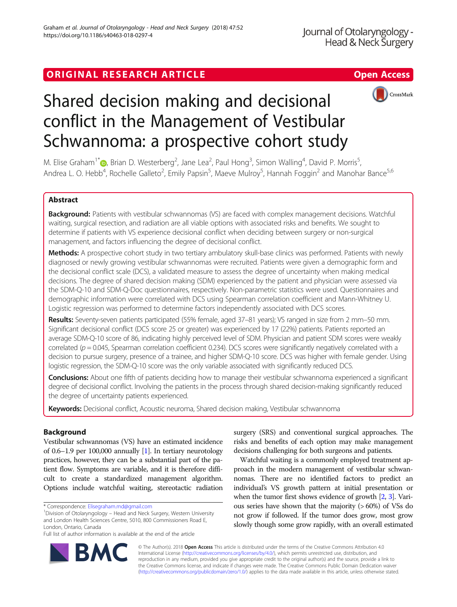# ORIGINAL RESEARCH ARTICLE **Solution Contract Contract Contract Contract Contract Contract Contract Contract Contract Contract Contract Contract Contract Contract Contract Contract Contract Contract Contract Contract Contra**



# Shared decision making and decisional conflict in the Management of Vestibular Schwannoma: a prospective cohort study

M. Elise Graham<sup>1[\\*](http://orcid.org/0000-0001-7159-2953)</sup> $\bm{\mathbb{D}}$ , Brian D. Westerberg<sup>2</sup>, Jane Lea<sup>2</sup>, Paul Hong<sup>3</sup>, Simon Walling<sup>4</sup>, David P. Morris<sup>5</sup> , Andrea L. O. Hebb<sup>4</sup>, Rochelle Galleto<sup>2</sup>, Emily Papsin<sup>5</sup>, Maeve Mulroy<sup>5</sup>, Hannah Foggin<sup>2</sup> and Manohar Bance<sup>5,6</sup>

# Abstract

Background: Patients with vestibular schwannomas (VS) are faced with complex management decisions. Watchful waiting, surgical resection, and radiation are all viable options with associated risks and benefits. We sought to determine if patients with VS experience decisional conflict when deciding between surgery or non-surgical management, and factors influencing the degree of decisional conflict.

Methods: A prospective cohort study in two tertiary ambulatory skull-base clinics was performed. Patients with newly diagnosed or newly growing vestibular schwannomas were recruited. Patients were given a demographic form and the decisional conflict scale (DCS), a validated measure to assess the degree of uncertainty when making medical decisions. The degree of shared decision making (SDM) experienced by the patient and physician were assessed via the SDM-Q-10 and SDM-Q-Doc questionnaires, respectively. Non-parametric statistics were used. Questionnaires and demographic information were correlated with DCS using Spearman correlation coefficient and Mann-Whitney U. Logistic regression was performed to determine factors independently associated with DCS scores.

Results: Seventy-seven patients participated (55% female, aged 37-81 years); VS ranged in size from 2 mm-50 mm. Significant decisional conflict (DCS score 25 or greater) was experienced by 17 (22%) patients. Patients reported an average SDM-Q-10 score of 86, indicating highly perceived level of SDM. Physician and patient SDM scores were weakly correlated ( $p = 0.045$ , Spearman correlation coefficient 0.234). DCS scores were significantly negatively correlated with a decision to pursue surgery, presence of a trainee, and higher SDM-Q-10 score. DCS was higher with female gender. Using logistic regression, the SDM-Q-10 score was the only variable associated with significantly reduced DCS.

Conclusions: About one fifth of patients deciding how to manage their vestibular schwannoma experienced a significant degree of decisional conflict. Involving the patients in the process through shared decision-making significantly reduced the degree of uncertainty patients experienced.

Keywords: Decisional conflict, Acoustic neuroma, Shared decision making, Vestibular schwannoma

# Background

Vestibular schwannomas (VS) have an estimated incidence of 0.6–1.9 per 100,000 annually [\[1\]](#page-6-0). In tertiary neurotology practices, however, they can be a substantial part of the patient flow. Symptoms are variable, and it is therefore difficult to create a standardized management algorithm. Options include watchful waiting, stereotactic radiation surgery (SRS) and conventional surgical approaches. The risks and benefits of each option may make management decisions challenging for both surgeons and patients.

Watchful waiting is a commonly employed treatment approach in the modern management of vestibular schwannomas. There are no identified factors to predict an individual's VS growth pattern at initial presentation or when the tumor first shows evidence of growth [\[2,](#page-6-0) [3](#page-6-0)]. Various series have shown that the majority (> 60%) of VSs do not grow if followed. If the tumor does grow, most grow slowly though some grow rapidly, with an overall estimated



© The Author(s). 2018 Open Access This article is distributed under the terms of the Creative Commons Attribution 4.0 International License [\(http://creativecommons.org/licenses/by/4.0/](http://creativecommons.org/licenses/by/4.0/)), which permits unrestricted use, distribution, and reproduction in any medium, provided you give appropriate credit to the original author(s) and the source, provide a link to the Creative Commons license, and indicate if changes were made. The Creative Commons Public Domain Dedication waiver [\(http://creativecommons.org/publicdomain/zero/1.0/](http://creativecommons.org/publicdomain/zero/1.0/)) applies to the data made available in this article, unless otherwise stated.

<sup>\*</sup> Correspondence: [Elisegraham.md@gmail.com](mailto:Elisegraham.md@gmail.com) <sup>1</sup>

<sup>&</sup>lt;sup>1</sup> Division of Otolaryngology – Head and Neck Surgery, Western University and London Health Sciences Centre, 5010, 800 Commissioners Road E, London, Ontario, Canada

Full list of author information is available at the end of the article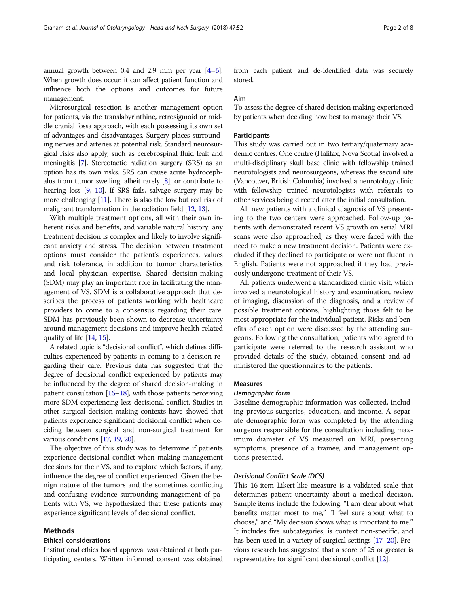annual growth between 0.4 and 2.9 mm per year [\[4](#page-6-0)–[6](#page-6-0)]. When growth does occur, it can affect patient function and influence both the options and outcomes for future management.

Microsurgical resection is another management option for patients, via the translabyrinthine, retrosigmoid or middle cranial fossa approach, with each possessing its own set of advantages and disadvantages. Surgery places surrounding nerves and arteries at potential risk. Standard neurosurgical risks also apply, such as cerebrospinal fluid leak and meningitis [\[7\]](#page-6-0). Stereotactic radiation surgery (SRS) as an option has its own risks. SRS can cause acute hydrocephalus from tumor swelling, albeit rarely [\[8](#page-6-0)], or contribute to hearing loss [\[9](#page-6-0), [10](#page-6-0)]. If SRS fails, salvage surgery may be more challenging [\[11\]](#page-6-0). There is also the low but real risk of malignant transformation in the radiation field [\[12,](#page-6-0) [13\]](#page-6-0).

With multiple treatment options, all with their own inherent risks and benefits, and variable natural history, any treatment decision is complex and likely to involve significant anxiety and stress. The decision between treatment options must consider the patient's experiences, values and risk tolerance, in addition to tumor characteristics and local physician expertise. Shared decision-making (SDM) may play an important role in facilitating the management of VS. SDM is a collaborative approach that describes the process of patients working with healthcare providers to come to a consensus regarding their care. SDM has previously been shown to decrease uncertainty around management decisions and improve health-related quality of life [[14](#page-6-0), [15\]](#page-6-0).

A related topic is "decisional conflict", which defines difficulties experienced by patients in coming to a decision regarding their care. Previous data has suggested that the degree of decisional conflict experienced by patients may be influenced by the degree of shared decision-making in patient consultation [[16](#page-6-0)–[18](#page-7-0)], with those patients perceiving more SDM experiencing less decisional conflict. Studies in other surgical decision-making contexts have showed that patients experience significant decisional conflict when deciding between surgical and non-surgical treatment for various conditions [[17](#page-7-0), [19](#page-7-0), [20](#page-7-0)].

The objective of this study was to determine if patients experience decisional conflict when making management decisions for their VS, and to explore which factors, if any, influence the degree of conflict experienced. Given the benign nature of the tumors and the sometimes conflicting and confusing evidence surrounding management of patients with VS, we hypothesized that these patients may experience significant levels of decisional conflict.

# Methods

# Ethical considerations

Institutional ethics board approval was obtained at both participating centers. Written informed consent was obtained from each patient and de-identified data was securely stored.

#### Aim

To assess the degree of shared decision making experienced by patients when deciding how best to manage their VS.

# **Participants**

This study was carried out in two tertiary/quaternary academic centres. One centre (Halifax, Nova Scotia) involved a multi-disciplinary skull base clinic with fellowship trained neurotologists and neurosurgeons, whereas the second site (Vancouver, British Columbia) involved a neurotology clinic with fellowship trained neurotologists with referrals to other services being directed after the initial consultation.

All new patients with a clinical diagnosis of VS presenting to the two centers were approached. Follow-up patients with demonstrated recent VS growth on serial MRI scans were also approached, as they were faced with the need to make a new treatment decision. Patients were excluded if they declined to participate or were not fluent in English. Patients were not approached if they had previously undergone treatment of their VS.

All patients underwent a standardized clinic visit, which involved a neurotological history and examination, review of imaging, discussion of the diagnosis, and a review of possible treatment options, highlighting those felt to be most appropriate for the individual patient. Risks and benefits of each option were discussed by the attending surgeons. Following the consultation, patients who agreed to participate were referred to the research assistant who provided details of the study, obtained consent and administered the questionnaires to the patients.

#### Measures

#### Demographic form

Baseline demographic information was collected, including previous surgeries, education, and income. A separate demographic form was completed by the attending surgeons responsible for the consultation including maximum diameter of VS measured on MRI, presenting symptoms, presence of a trainee, and management options presented.

# Decisional Conflict Scale (DCS)

This 16-item Likert-like measure is a validated scale that determines patient uncertainty about a medical decision. Sample items include the following: "I am clear about what benefits matter most to me," "I feel sure about what to choose," and "My decision shows what is important to me." It includes five subcategories, is context non-specific, and has been used in a variety of surgical settings [\[17](#page-7-0)–[20\]](#page-7-0). Previous research has suggested that a score of 25 or greater is representative for significant decisional conflict [\[12](#page-6-0)].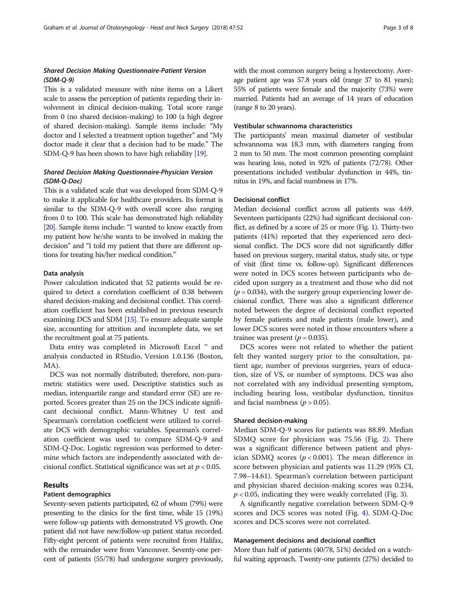# Shared Decision Making Questionnaire-Patient Version (SDM-Q-9)

This is a validated measure with nine items on a Likert scale to assess the perception of patients regarding their involvement in clinical decision-making. Total score range from 0 (no shared decision-making) to 100 (a high degree of shared decision-making). Sample items include: "My doctor and I selected a treatment option together" and "My doctor made it clear that a decision had to be made." The SDM-Q-9 has been shown to have high reliability [\[19\]](#page-7-0).

# Shared Decision Making Questionnaire-Physician Version (SDM-Q-Doc)

This is a validated scale that was developed from SDM-Q-9 to make it applicable for healthcare providers. Its format is similar to the SDM-Q-9 with overall score also ranging from 0 to 100. This scale has demonstrated high reliability [[20\]](#page-7-0). Sample items include: "I wanted to know exactly from my patient how he/she wants to be involved in making the decision" and "I told my patient that there are different options for treating his/her medical condition."

# Data analysis

Power calculation indicated that 52 patients would be required to detect a correlation coefficient of 0.38 between shared decision-making and decisional conflict. This correlation coefficient has been established in previous research examining DCS and SDM [\[15\]](#page-6-0). To ensure adequate sample size, accounting for attrition and incomplete data, we set the recruitment goal at 75 patients.

Data entry was completed in Microsoft Excel ™ and analysis conducted in RStudio, Version 1.0.136 (Boston, MA).

DCS was not normally distributed; therefore, non-parametric statistics were used. Descriptive statistics such as median, interquartile range and standard error (SE) are reported. Scores greater than 25 on the DCS indicate significant decisional conflict. Mann-Whitney U test and Spearman's correlation coefficient were utilized to correlate DCS with demographic variables. Spearman's correlation coefficient was used to compare SDM-Q-9 and SDM-Q-Doc. Logistic regression was performed to determine which factors are independently associated with decisional conflict. Statistical significance was set at  $p < 0.05$ .

# Results

# Patient demographics

Seventy-seven patients participated, 62 of whom (79%) were presenting to the clinics for the first time, while 15 (19%) were follow-up patients with demonstrated VS growth. One patient did not have new/follow-up patient status recorded. Fifty-eight percent of patients were recruited from Halifax, with the remainder were from Vancouver. Seventy-one percent of patients (55/78) had undergone surgery previously, with the most common surgery being a hysterectomy. Average patient age was 57.8 years old (range 37 to 81 years); 55% of patients were female and the majority (73%) were married. Patients had an average of 14 years of education (range 8 to 20 years).

# Vestibular schwannoma characteristics

The participants' mean maximal diameter of vestibular schwannoma was 18.3 mm, with diameters ranging from 2 mm to 50 mm. The most common presenting complaint was hearing loss, noted in 92% of patients (72/78). Other presentations included vestibular dysfunction in 44%, tinnitus in 19%, and facial numbness in 17%.

# Decisional conflict

Median decisional conflict across all patients was 4.69. Seventeen participants (22%) had significant decisional conflict, as defined by a score of 25 or more (Fig. [1\)](#page-3-0). Thirty-two patients (41%) reported that they experienced zero decisional conflict. The DCS score did not significantly differ based on previous surgery, marital status, study site, or type of visit (first time vs. follow-up). Significant differences were noted in DCS scores between participants who decided upon surgery as a treatment and those who did not  $(p = 0.034)$ , with the surgery group experiencing lower decisional conflict. There was also a significant difference noted between the degree of decisional conflict reported by female patients and male patients (male lower), and lower DCS scores were noted in those encounters where a trainee was present ( $p = 0.035$ ).

DCS scores were not related to whether the patient felt they wanted surgery prior to the consultation, patient age, number of previous surgeries, years of education, size of VS, or number of symptoms. DCS was also not correlated with any individual presenting symptom, including hearing loss, vestibular dysfunction, tinnitus and facial numbness ( $p > 0.05$ ).

# Shared decision-making

Median SDM-Q-9 scores for patients was 88.89. Median SDMQ score for physicians was 75.56 (Fig. [2\)](#page-3-0). There was a significant difference between patient and physician SDMQ scores ( $p < 0.001$ ). The mean difference in score between physician and patients was 11.29 (95% CI, 7.98–14.61). Spearman's correlation between participant and physician shared decision-making scores was 0.234,  $p < 0.05$ , indicating they were weakly correlated (Fig. [3\)](#page-4-0).

A significantly negative correlation between SDM-Q-9 scores and DCS scores was noted (Fig. [4\)](#page-4-0). SDM-Q-Doc scores and DCS scores were not correlated.

# Management decisions and decisional conflict

More than half of patients (40/78, 51%) decided on a watchful waiting approach. Twenty-one patients (27%) decided to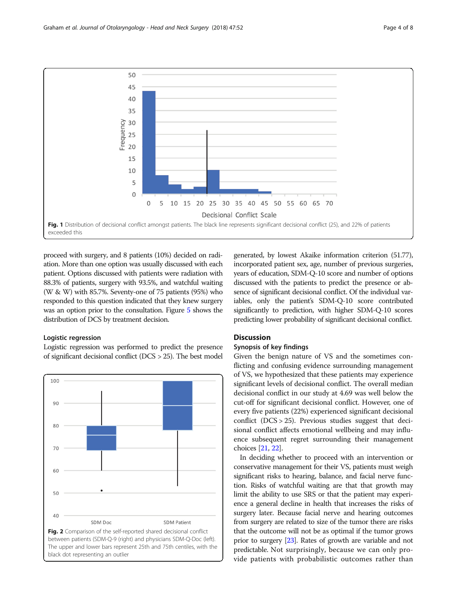<span id="page-3-0"></span>

proceed with surgery, and 8 patients (10%) decided on radiation. More than one option was usually discussed with each patient. Options discussed with patients were radiation with 88.3% of patients, surgery with 93.5%, and watchful waiting (W & W) with 85.7%. Seventy-one of 75 patients (95%) who responded to this question indicated that they knew surgery was an option prior to the consultation. Figure [5](#page-5-0) shows the distribution of DCS by treatment decision.

#### Logistic regression

Logistic regression was performed to predict the presence of significant decisional conflict (DCS > 25). The best model



generated, by lowest Akaike information criterion (51.77), incorporated patient sex, age, number of previous surgeries, years of education, SDM-Q-10 score and number of options discussed with the patients to predict the presence or absence of significant decisional conflict. Of the individual variables, only the patient's SDM-Q-10 score contributed significantly to prediction, with higher SDM-Q-10 scores predicting lower probability of significant decisional conflict.

#### **Discussion**

# Synopsis of key findings

Given the benign nature of VS and the sometimes conflicting and confusing evidence surrounding management of VS, we hypothesized that these patients may experience significant levels of decisional conflict. The overall median decisional conflict in our study at 4.69 was well below the cut-off for significant decisional conflict. However, one of every five patients (22%) experienced significant decisional conflict (DCS > 25). Previous studies suggest that decisional conflict affects emotional wellbeing and may influence subsequent regret surrounding their management choices [[21](#page-7-0), [22\]](#page-7-0).

In deciding whether to proceed with an intervention or conservative management for their VS, patients must weigh significant risks to hearing, balance, and facial nerve function. Risks of watchful waiting are that that growth may limit the ability to use SRS or that the patient may experience a general decline in health that increases the risks of surgery later. Because facial nerve and hearing outcomes from surgery are related to size of the tumor there are risks that the outcome will not be as optimal if the tumor grows prior to surgery [\[23](#page-7-0)]. Rates of growth are variable and not predictable. Not surprisingly, because we can only provide patients with probabilistic outcomes rather than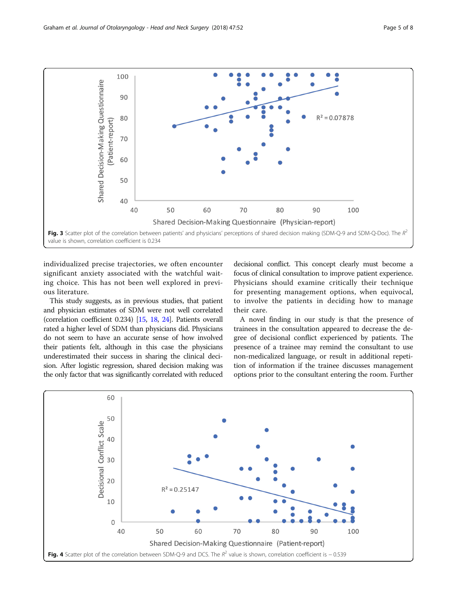<span id="page-4-0"></span>

individualized precise trajectories, we often encounter significant anxiety associated with the watchful waiting choice. This has not been well explored in previous literature.

This study suggests, as in previous studies, that patient and physician estimates of SDM were not well correlated (correlation coefficient 0.234) [[15](#page-6-0), [18](#page-7-0), [24\]](#page-7-0). Patients overall rated a higher level of SDM than physicians did. Physicians do not seem to have an accurate sense of how involved their patients felt, although in this case the physicians underestimated their success in sharing the clinical decision. After logistic regression, shared decision making was the only factor that was significantly correlated with reduced

decisional conflict. This concept clearly must become a focus of clinical consultation to improve patient experience. Physicians should examine critically their technique for presenting management options, when equivocal, to involve the patients in deciding how to manage their care.

A novel finding in our study is that the presence of trainees in the consultation appeared to decrease the degree of decisional conflict experienced by patients. The presence of a trainee may remind the consultant to use non-medicalized language, or result in additional repetition of information if the trainee discusses management options prior to the consultant entering the room. Further

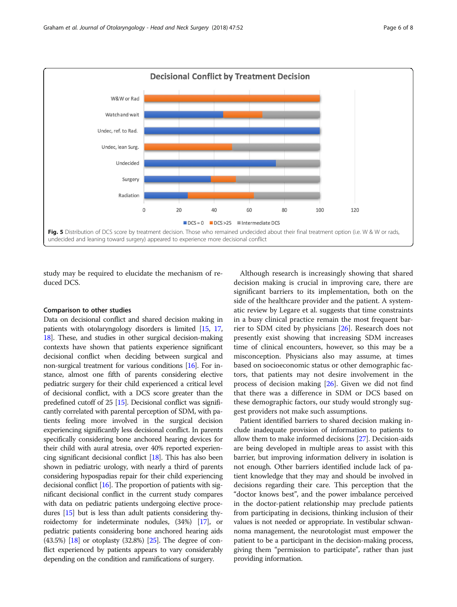<span id="page-5-0"></span>

study may be required to elucidate the mechanism of reduced DCS.

#### Comparison to other studies

Data on decisional conflict and shared decision making in patients with otolaryngology disorders is limited [[15](#page-6-0), [17](#page-7-0), [18](#page-7-0)]. These, and studies in other surgical decision-making contexts have shown that patients experience significant decisional conflict when deciding between surgical and non-surgical treatment for various conditions [[16\]](#page-6-0). For instance, almost one fifth of parents considering elective pediatric surgery for their child experienced a critical level of decisional conflict, with a DCS score greater than the predefined cutoff of 25 [\[15\]](#page-6-0). Decisional conflict was significantly correlated with parental perception of SDM, with patients feeling more involved in the surgical decision experiencing significantly less decisional conflict. In parents specifically considering bone anchored hearing devices for their child with aural atresia, over 40% reported experiencing significant decisional conflict [[18](#page-7-0)]. This has also been shown in pediatric urology, with nearly a third of parents considering hypospadias repair for their child experiencing decisional conflict [[16](#page-6-0)]. The proportion of patients with significant decisional conflict in the current study compares with data on pediatric patients undergoing elective procedures [\[15](#page-6-0)] but is less than adult patients considering thyroidectomy for indeterminate nodules, (34%) [\[17\]](#page-7-0), or pediatric patients considering bone anchored hearing aids (43.5%) [\[18\]](#page-7-0) or otoplasty (32.8%) [[25](#page-7-0)]. The degree of conflict experienced by patients appears to vary considerably depending on the condition and ramifications of surgery.

Although research is increasingly showing that shared decision making is crucial in improving care, there are significant barriers to its implementation, both on the side of the healthcare provider and the patient. A systematic review by Legare et al. suggests that time constraints in a busy clinical practice remain the most frequent barrier to SDM cited by physicians [\[26\]](#page-7-0). Research does not presently exist showing that increasing SDM increases time of clinical encounters, however, so this may be a misconception. Physicians also may assume, at times based on socioeconomic status or other demographic factors, that patients may not desire involvement in the process of decision making [[26](#page-7-0)]. Given we did not find that there was a difference in SDM or DCS based on these demographic factors, our study would strongly suggest providers not make such assumptions.

Patient identified barriers to shared decision making include inadequate provision of information to patients to allow them to make informed decisions [[27](#page-7-0)]. Decision-aids are being developed in multiple areas to assist with this barrier, but improving information delivery in isolation is not enough. Other barriers identified include lack of patient knowledge that they may and should be involved in decisions regarding their care. This perception that the "doctor knows best", and the power imbalance perceived in the doctor-patient relationship may preclude patients from participating in decisions, thinking inclusion of their values is not needed or appropriate. In vestibular schwannoma management, the neurotologist must empower the patient to be a participant in the decision-making process, giving them "permission to participate", rather than just providing information.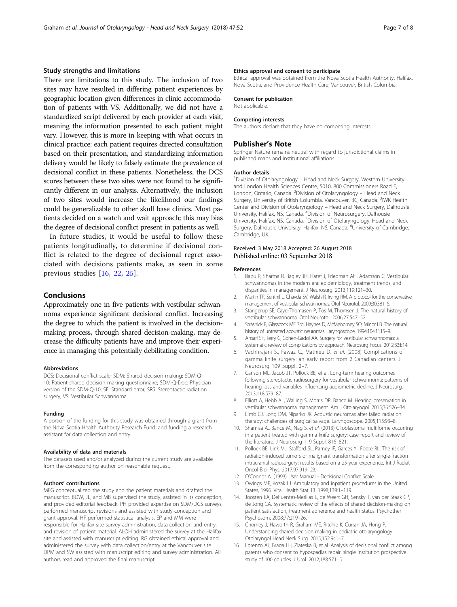# <span id="page-6-0"></span>Study strengths and limitations

There are limitations to this study. The inclusion of two sites may have resulted in differing patient experiences by geographic location given differences in clinic accommodation of patients with VS. Additionally, we did not have a standardized script delivered by each provider at each visit, meaning the information presented to each patient might vary. However, this is more in keeping with what occurs in clinical practice: each patient requires directed consultation based on their presentation, and standardizing information delivery would be likely to falsely estimate the prevalence of decisional conflict in these patients. Nonetheless, the DCS scores between these two sites were not found to be significantly different in our analysis. Alternatively, the inclusion of two sites would increase the likelihood our findings could be generalizable to other skull base clinics. Most patients decided on a watch and wait approach; this may bias the degree of decisional conflict present in patients as well.

In future studies, it would be useful to follow these patients longitudinally, to determine if decisional conflict is related to the degree of decisional regret associated with decisions patients make, as seen in some previous studies [16, [22](#page-7-0), [25](#page-7-0)].

# Conclusions

Approximately one in five patients with vestibular schwannoma experience significant decisional conflict. Increasing the degree to which the patient is involved in the decisionmaking process, through shared decision-making, may decrease the difficulty patients have and improve their experience in managing this potentially debilitating condition.

#### Abbreviations

DCS: Decisional conflict scale; SDM: Shared decision making; SDM-Q-10: Patient shared decision making questionnaire; SDM-Q-Doc: Physician version of the SDM-Q-10; SE: Standard error; SRS: Stereotactic radiation surgery; VS: Vestibular Schwannoma

#### Funding

A portion of the funding for this study was obtained through a grant from the Nova Scotia Health Authority Research Fund, and funding a research assistant for data collection and entry.

#### Availability of data and materials

The datasets used and/or analyzed during the current study are available from the corresponding author on reasonable request.

#### Authors' contributions

MEG conceptualized the study and the patient materials and drafted the manuscript. BDW, JL, and MB supervised the study, assisted in its conception, and provided editorial feedback. PH provided expertise on SDM/DCS surveys, performed manuscript revisions and assisted with study conception and grant approval. HF performed statistical analysis. EP and MM were responsible for Halifax site survey administration, data collection and entry, and revision of patient material. ALOH administered the survey at the Halifax site and assisted with manuscript editing. RG obtained ethical approval and administered the survey with data collection/entry at the Vancouver site. DPM and SW assisted with manuscript editing and survey administration. All authors read and approved the final manuscript.

#### Ethics approval and consent to participate

Ethical approval was obtained from the Nova Scotia Health Authority, Halifax, Nova Scotia, and Providence Health Care, Vancouver, British Columbia.

#### Consent for publication

Not applicable.

#### Competing interests

The authors declare that they have no competing interests.

#### Publisher's Note

Springer Nature remains neutral with regard to jurisdictional claims in published maps and institutional affiliations.

#### Author details

<sup>1</sup> Division of Otolaryngology - Head and Neck Surgery, Western University and London Health Sciences Centre, 5010, 800 Commissioners Road E, London, Ontario, Canada. <sup>2</sup> Division of Otolaryngology - Head and Neck Surgery, University of British Columbia, Vancouver, BC, Canada. <sup>3</sup>IWK Health Center and Division of Otolaryngology – Head and Neck Surgery, Dalhousie University, Halifax, NS, Canada. <sup>4</sup>Division of Neurosurgery, Dalhousie University, Halifax, NS, Canada. <sup>5</sup>Division of Otolaryngology, Head and Neck Surgery, Dalhousie University, Halifax, NS, Canada. <sup>6</sup>University of Cambridge, Cambridge, UK.

#### Received: 3 May 2018 Accepted: 26 August 2018 Published online: 03 September 2018

#### References

- 1. Babu R, Sharma R, Bagley JH, Hatef J, Friedman AH, Adamson C. Vestibular schwannomas in the modern era: epidemiology, treatment trends, and disparities in management. J Neurosurg. 2013;119:121–30.
- 2. Martin TP, Senthil L, Chavda SV, Walsh R, Irving RM. A protocol for the conservative management of vestibular schwannomas. Otol Neurotol. 2009;30:381–5.
- 3. Stangerup SE, Caye-Thomasen P, Tos M, Thomsen J. The natural history of vestibular schwannoma. Otol Neurotol. 2006;27:547–52.
- 4. Strasnick B, Glasscock ME 3rd, Haynes D, McMenomey SO, Minor LB. The natural history of untreated acoustic neuromas. Laryngoscope. 1994;104:1115–9.
- 5. Ansari SF, Terry C, Cohen-Gadol AA. Surgery for vestibular schwannomas: a systematic review of complications by approach. Neurosurg Focus. 2012;33:E14.
- Vachhrajani S., Fawaz C., Mathieu D. et al. (2008) Complications of gamma knife surgery: an early report from 2 Canadian centers. J Neurosurg 109 Suppl, 2–7.
- 7. Carlson ML, Jacob JT, Pollock BE, et al. Long-term hearing outcomes following stereotactic radiosurgery for vestibular schwannoma: patterns of hearing loss and variables influencing audiometric decline. J Neurosurg. 2013;118:579–87.
- Elliott A, Hebb AL, Walling S, Morris DP, Bance M. Hearing preservation in vestibular schwannoma management. Am J Otolaryngol. 2015;36:526–34.
- 9. Limb CJ, Long DM, Niparko JK. Acoustic neuromas after failed radiation therapy: challenges of surgical salvage. Laryngoscope. 2005;115:93–8.
- 10. Shamisa A., Bance M., Nag S. et al. (2013) Glioblastoma multiforme occurring in a patient treated with gamma knife surgery: case report and review of the literature. J Neurosurg 119 Suppl, 816–821.
- 11. Pollock BE, Link MJ, Stafford SL, Parney IF, Garces YI, Foote RL. The risk of radiation-induced tumors or malignant transformation after single-fraction intracranial radiosurgery: results based on a 25-year experience. Int J Radiat Oncol Biol Phys. 2017;97:919–23.
- 12. O'Connor A. (1993) User Manual Decisional Conflict Scale.
- 13. Owings MF, Kozak LJ. Ambulatory and inpatient procedures in the United States, 1996. Vital Health Stat 13. 1998;139:1–119.
- 14. Joosten EA, DeFuentes-Merillas L, de Weert GH, Sensky T, van der Staak CP, de Jong CA. Systematic review of the effects of shared decision-making on patient satisfaction, treatment adherence and health status. Psychother Psychosom. 2008;77:219–26.
- 15. Chorney J, Haworth R, Graham ME, Ritchie K, Curran JA, Hong P. Understanding shared decision making in pediatric otolaryngology. Otolaryngol Head Neck Surg. 2015;152:941–7.
- 16. Lorenzo AJ, Braga LH, Zlateska B, et al. Analysis of decisional conflict among parents who consent to hypospadias repair: single institution prospective study of 100 couples. J Urol. 2012;188:571–5.